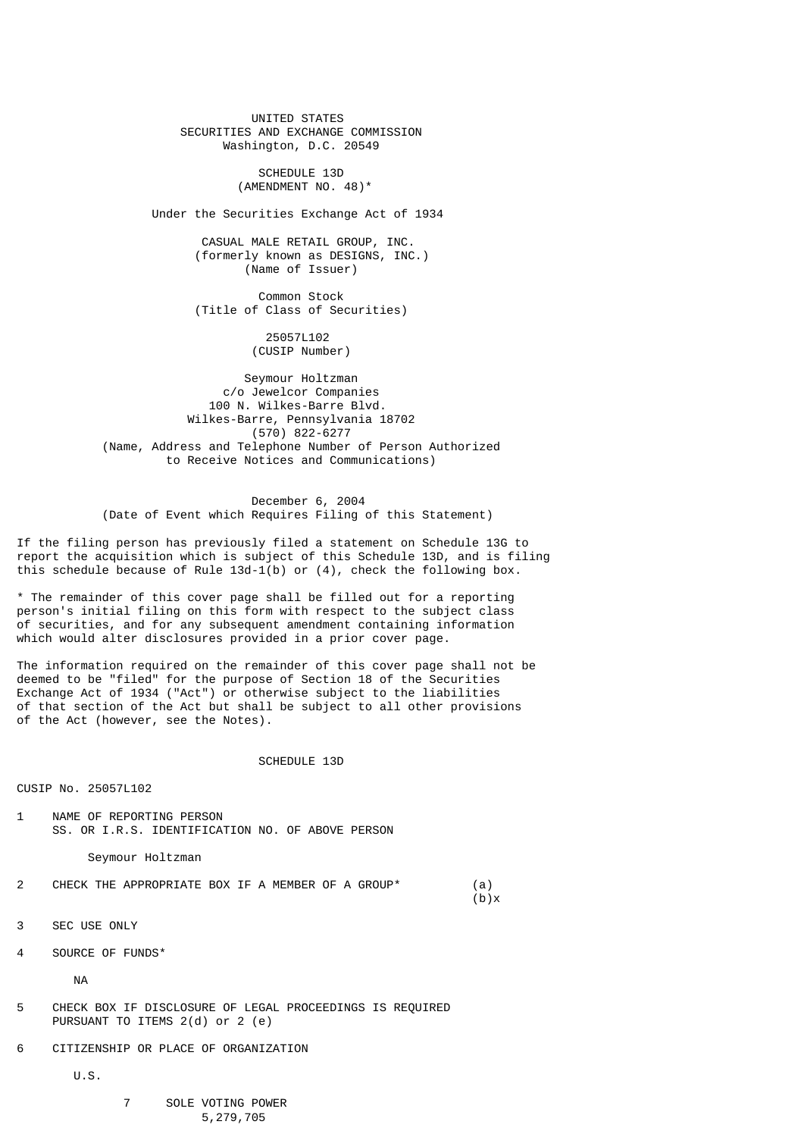UNITED STATES SECURITIES AND EXCHANGE COMMISSION Washington, D.C. 20549

> SCHEDULE 13D (AMENDMENT NO. 48)\*

Under the Securities Exchange Act of 1934

 CASUAL MALE RETAIL GROUP, INC. (formerly known as DESIGNS, INC.) (Name of Issuer)

 Common Stock (Title of Class of Securities)

> 25057L102 (CUSIP Number)

 Seymour Holtzman c/o Jewelcor Companies 100 N. Wilkes-Barre Blvd. Wilkes-Barre, Pennsylvania 18702 (570) 822-6277 (Name, Address and Telephone Number of Person Authorized to Receive Notices and Communications)

 December 6, 2004 (Date of Event which Requires Filing of this Statement)

If the filing person has previously filed a statement on Schedule 13G to report the acquisition which is subject of this Schedule 13D, and is filing this schedule because of Rule  $13d-1(b)$  or  $(4)$ , check the following box.

\* The remainder of this cover page shall be filled out for a reporting person's initial filing on this form with respect to the subject class of securities, and for any subsequent amendment containing information which would alter disclosures provided in a prior cover page.

The information required on the remainder of this cover page shall not be deemed to be "filed" for the purpose of Section 18 of the Securities Exchange Act of 1934 ("Act") or otherwise subject to the liabilities of that section of the Act but shall be subject to all other provisions of the Act (however, see the Notes).

SCHEDULE 13D

CUSIP No. 25057L102

1 NAME OF REPORTING PERSON SS. OR I.R.S. IDENTIFICATION NO. OF ABOVE PERSON

Seymour Holtzman

2 CHECK THE APPROPRIATE BOX IF A MEMBER OF A GROUP\* (a)<br>(b)x  $(b)$ x

3 SEC USE ONLY

4 SOURCE OF FUNDS\*

NA

- 5 CHECK BOX IF DISCLOSURE OF LEGAL PROCEEDINGS IS REQUIRED PURSUANT TO ITEMS 2(d) or 2 (e)
- 6 CITIZENSHIP OR PLACE OF ORGANIZATION

U.S.

# 7 SOLE VOTING POWER 5,279,705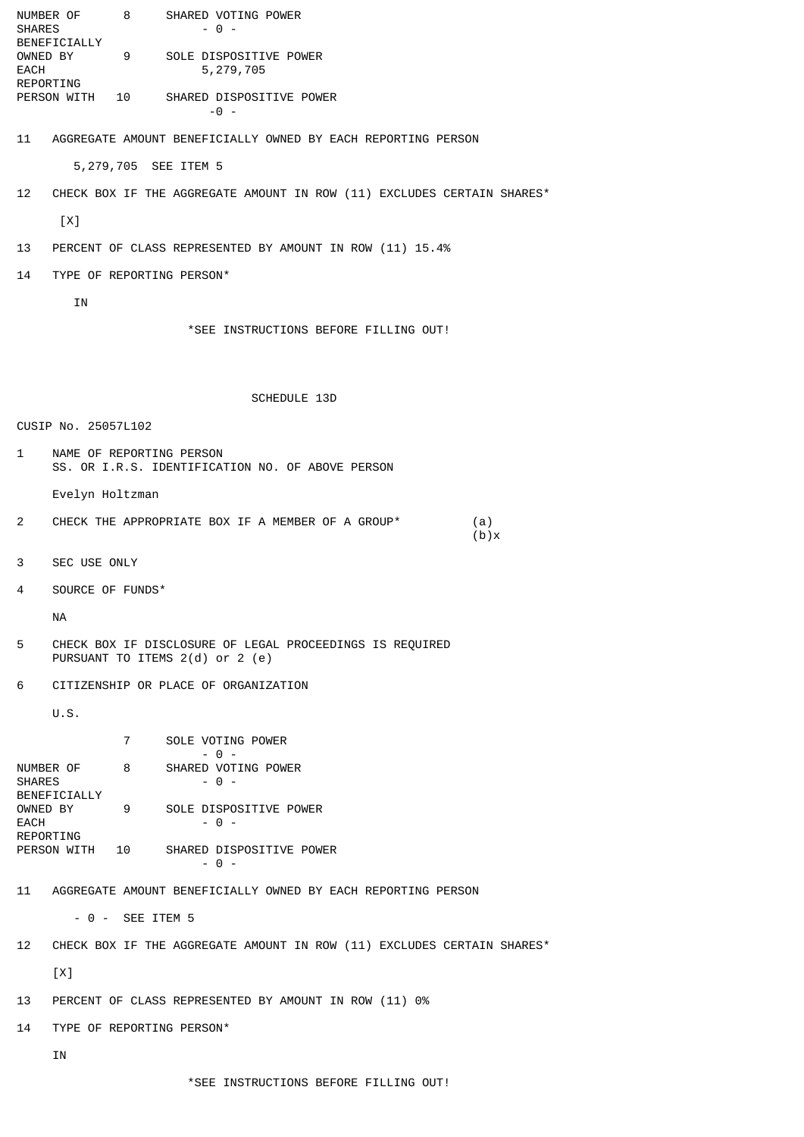NUMBER OF 8 SHARED VOTING POWER SHARES - 0 -BENEFICIALLY<br>OWNED BY 9 SOLE DISPOSITIVE POWER EACH 5,279,705 REPORTING<br>PERSON WITH 10 SHARED DISPOSITIVE POWER  $-0$  -11 AGGREGATE AMOUNT BENEFICIALLY OWNED BY EACH REPORTING PERSON 5,279,705 SEE ITEM 5 12 CHECK BOX IF THE AGGREGATE AMOUNT IN ROW (11) EXCLUDES CERTAIN SHARES\*  $[X]$ 13 PERCENT OF CLASS REPRESENTED BY AMOUNT IN ROW (11) 15.4% 14 TYPE OF REPORTING PERSON\* IN \*SEE INSTRUCTIONS BEFORE FILLING OUT! SCHEDULE 13D CUSIP No. 25057L102 1 NAME OF REPORTING PERSON SS. OR I.R.S. IDENTIFICATION NO. OF ABOVE PERSON Evelyn Holtzman 2 CHECK THE APPROPRIATE BOX IF A MEMBER OF A GROUP\* (a)  $(b)$ x 3 SEC USE ONLY 4 SOURCE OF FUNDS\* NA 5 CHECK BOX IF DISCLOSURE OF LEGAL PROCEEDINGS IS REQUIRED PURSUANT TO ITEMS 2(d) or 2 (e) 6 CITIZENSHIP OR PLACE OF ORGANIZATION U.S. 7 SOLE VOTING POWER  $-$  0 -NUMBER OF 8 SHARED VOTING POWER SHARES - 0 -BENEFICIALLY OWNED BY 9 SOLE DISPOSITIVE POWER  $EACH$  - 0 -REPORTING<br>PERSON WITH 10 SHARED DISPOSITIVE POWER - 0 - 11 AGGREGATE AMOUNT BENEFICIALLY OWNED BY EACH REPORTING PERSON - 0 - SEE ITEM 5 12 CHECK BOX IF THE AGGREGATE AMOUNT IN ROW (11) EXCLUDES CERTAIN SHARES\*  $[X]$ 13 PERCENT OF CLASS REPRESENTED BY AMOUNT IN ROW (11) 0% 14 TYPE OF REPORTING PERSON\* IN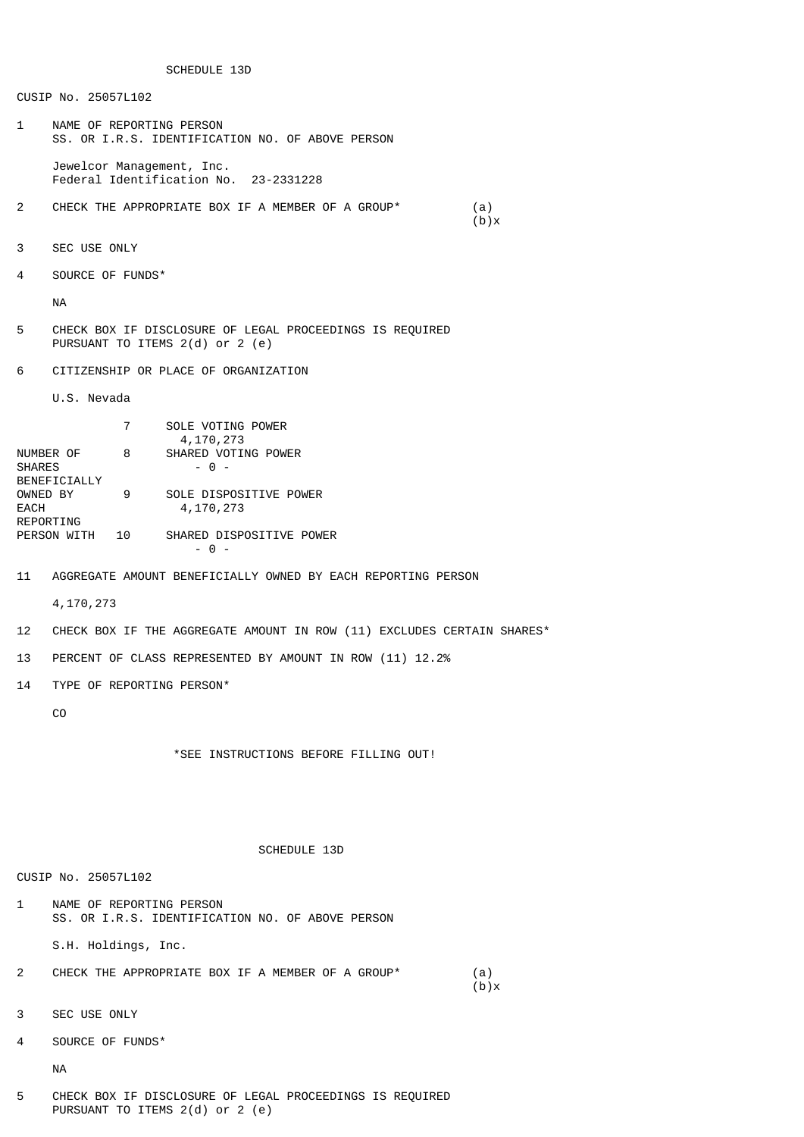SCHEDULE 13D

CUSIP No. 25057L102

1 NAME OF REPORTING PERSON SS. OR I.R.S. IDENTIFICATION NO. OF ABOVE PERSON

 Jewelcor Management, Inc. Federal Identification No. 23-2331228

- 2 CHECK THE APPROPRIATE BOX IF A MEMBER OF A GROUP\* (a)<br>(b)x  $(b) \times$
- 3 SEC USE ONLY
- 4 SOURCE OF FUNDS\*

NA

- 5 CHECK BOX IF DISCLOSURE OF LEGAL PROCEEDINGS IS REQUIRED PURSUANT TO ITEMS 2(d) or 2 (e)
- 6 CITIZENSHIP OR PLACE OF ORGANIZATION

U.S. Nevada

|               |    | SOLE VOTING POWER        |  |
|---------------|----|--------------------------|--|
|               |    | 4,170,273                |  |
| NUMBER OF     | 8  | SHARED VOTING POWER      |  |
| <b>SHARES</b> |    | - 0 -                    |  |
| BENEFICIALLY  |    |                          |  |
| OWNED BY      | 9  | SOLE DISPOSITIVE POWER   |  |
| EACH          |    | 4,170,273                |  |
| REPORTING     |    |                          |  |
| PERSON WITH   | 10 | SHARED DISPOSITIVE POWER |  |
|               |    |                          |  |

11 AGGREGATE AMOUNT BENEFICIALLY OWNED BY EACH REPORTING PERSON

4,170,273

- 12 CHECK BOX IF THE AGGREGATE AMOUNT IN ROW (11) EXCLUDES CERTAIN SHARES\*
- 13 PERCENT OF CLASS REPRESENTED BY AMOUNT IN ROW (11) 12.2%
- 14 TYPE OF REPORTING PERSON\*

CO

\*SEE INSTRUCTIONS BEFORE FILLING OUT!

SCHEDULE 13D

#### CUSIP No. 25057L102

1 NAME OF REPORTING PERSON SS. OR I.R.S. IDENTIFICATION NO. OF ABOVE PERSON

S.H. Holdings, Inc.

- 2 CHECK THE APPROPRIATE BOX IF A MEMBER OF A GROUP\* (a)<br>(b)x  $(b) \times$
- 3 SEC USE ONLY
- 4 SOURCE OF FUNDS\*

NA

5 CHECK BOX IF DISCLOSURE OF LEGAL PROCEEDINGS IS REQUIRED PURSUANT TO ITEMS 2(d) or 2 (e)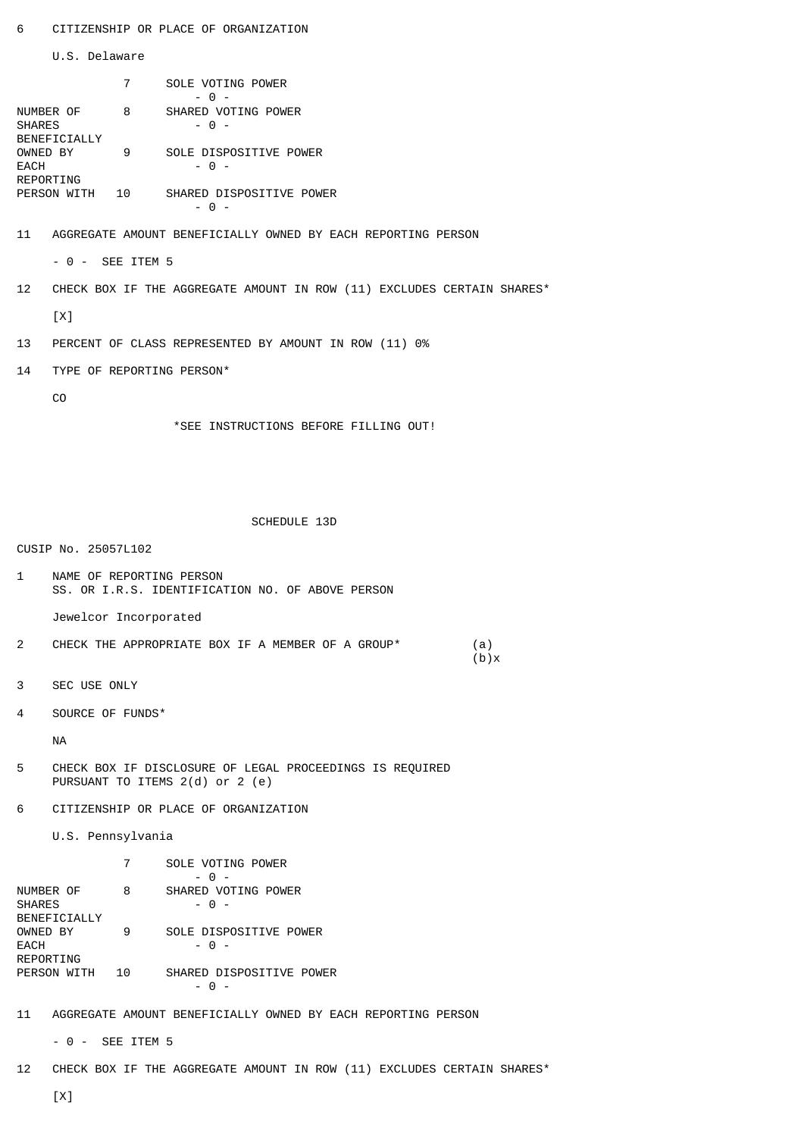U.S. Delaware

|                                                   |    | SOLE VOTING POWER             |
|---------------------------------------------------|----|-------------------------------|
| NUMBER OF<br><b>SHARES</b><br><b>BENEFICIALLY</b> | 8  | SHARED VOTING POWER<br>- റ -  |
| OWNED BY<br>EACH<br>REPORTING                     | 9  | SOLE DISPOSITIVE POWER<br>- റ |
| PERSON WITH                                       | 10 | SHARED DISPOSITIVE POWER      |

11 AGGREGATE AMOUNT BENEFICIALLY OWNED BY EACH REPORTING PERSON

- 0 - SEE ITEM 5

12 CHECK BOX IF THE AGGREGATE AMOUNT IN ROW (11) EXCLUDES CERTAIN SHARES\*

[X]

13 PERCENT OF CLASS REPRESENTED BY AMOUNT IN ROW (11) 0%

14 TYPE OF REPORTING PERSON\*

CO

\*SEE INSTRUCTIONS BEFORE FILLING OUT!

## SCHEDULE 13D

CUSIP No. 25057L102

1 NAME OF REPORTING PERSON SS. OR I.R.S. IDENTIFICATION NO. OF ABOVE PERSON

Jewelcor Incorporated

- 2 CHECK THE APPROPRIATE BOX IF A MEMBER OF A GROUP\* (a)<br>(b)x  $(b)$ x
- 3 SEC USE ONLY
- 4 SOURCE OF FUNDS\*

NA

5 CHECK BOX IF DISCLOSURE OF LEGAL PROCEEDINGS IS REQUIRED PURSUANT TO ITEMS 2(d) or 2 (e)

6 CITIZENSHIP OR PLACE OF ORGANIZATION

U.S. Pennsylvania

|                                                   |    | SOLE VOTING POWER<br>∩          |
|---------------------------------------------------|----|---------------------------------|
| NUMBER OF<br><b>SHARES</b><br><b>BENEETCTALLY</b> | 8  | SHARED VOTING POWER<br>- റ -    |
| OWNED BY<br>EACH<br>REPORTING                     | 9  | SOLE DISPOSITIVE POWER<br>- റ - |
| PERSON WITH                                       | 10 | SHARED DISPOSITIVE POWER        |

11 AGGREGATE AMOUNT BENEFICIALLY OWNED BY EACH REPORTING PERSON

- 0 - SEE ITEM 5

12 CHECK BOX IF THE AGGREGATE AMOUNT IN ROW (11) EXCLUDES CERTAIN SHARES\*

[X]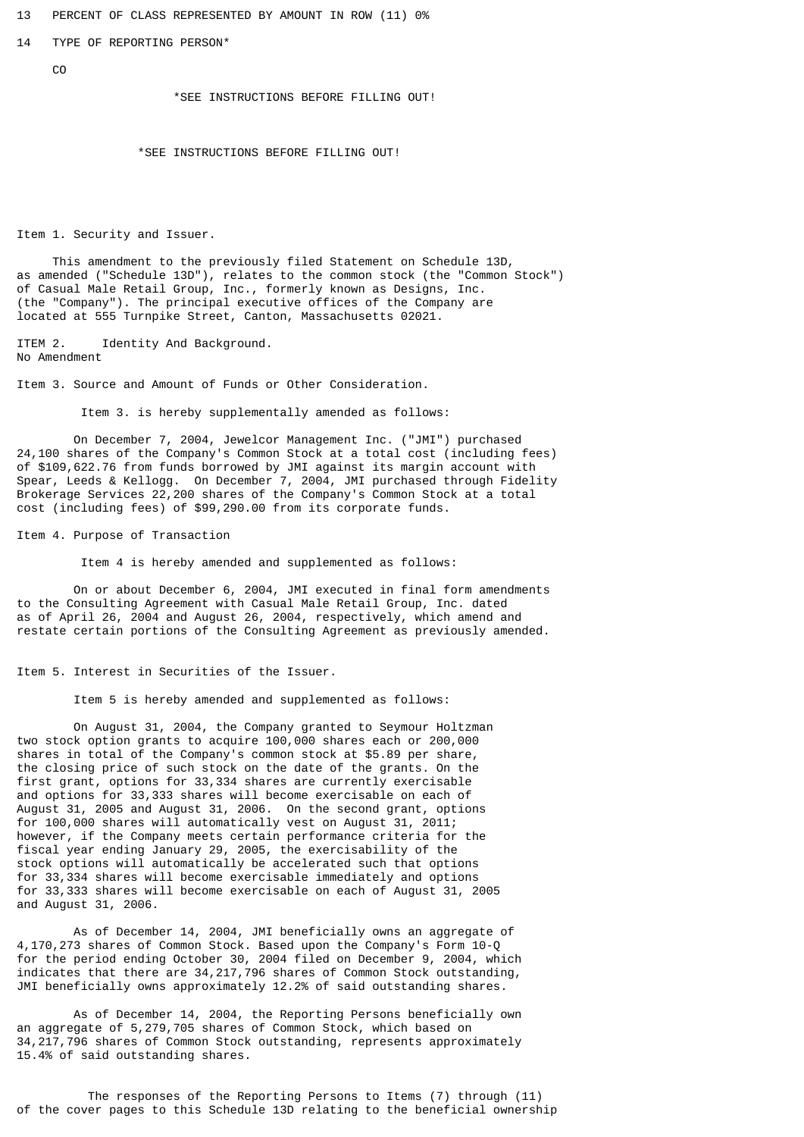13 PERCENT OF CLASS REPRESENTED BY AMOUNT IN ROW (11) 0%

14 TYPE OF REPORTING PERSON\*

C<sub>O</sub>

\*SEE INSTRUCTIONS BEFORE FILLING OUT!

\*SEE INSTRUCTIONS BEFORE FILLING OUT!

Item 1. Security and Issuer.

 This amendment to the previously filed Statement on Schedule 13D, as amended ("Schedule 13D"), relates to the common stock (the "Common Stock") of Casual Male Retail Group, Inc., formerly known as Designs, Inc. (the "Company"). The principal executive offices of the Company are located at 555 Turnpike Street, Canton, Massachusetts 02021.

ITEM 2. Identity And Background. No Amendment

Item 3. Source and Amount of Funds or Other Consideration.

Item 3. is hereby supplementally amended as follows:

 On December 7, 2004, Jewelcor Management Inc. ("JMI") purchased 24,100 shares of the Company's Common Stock at a total cost (including fees) of \$109,622.76 from funds borrowed by JMI against its margin account with Spear, Leeds & Kellogg. On December 7, 2004, JMI purchased through Fidelity Brokerage Services 22,200 shares of the Company's Common Stock at a total cost (including fees) of \$99,290.00 from its corporate funds.

Item 4. Purpose of Transaction

Item 4 is hereby amended and supplemented as follows:

 On or about December 6, 2004, JMI executed in final form amendments to the Consulting Agreement with Casual Male Retail Group, Inc. dated as of April 26, 2004 and August 26, 2004, respectively, which amend and restate certain portions of the Consulting Agreement as previously amended.

Item 5. Interest in Securities of the Issuer.

Item 5 is hereby amended and supplemented as follows:

 On August 31, 2004, the Company granted to Seymour Holtzman two stock option grants to acquire 100,000 shares each or 200,000 shares in total of the Company's common stock at \$5.89 per share, the closing price of such stock on the date of the grants. On the first grant, options for 33,334 shares are currently exercisable and options for 33,333 shares will become exercisable on each of August 31, 2005 and August 31, 2006. On the second grant, options for 100,000 shares will automatically vest on August 31, 2011; however, if the Company meets certain performance criteria for the fiscal year ending January 29, 2005, the exercisability of the stock options will automatically be accelerated such that options for 33,334 shares will become exercisable immediately and options for 33,333 shares will become exercisable on each of August 31, 2005 and August 31, 2006.

 As of December 14, 2004, JMI beneficially owns an aggregate of 4,170,273 shares of Common Stock. Based upon the Company's Form 10-Q for the period ending October 30, 2004 filed on December 9, 2004, which indicates that there are 34,217,796 shares of Common Stock outstanding, JMI beneficially owns approximately 12.2% of said outstanding shares.

 As of December 14, 2004, the Reporting Persons beneficially own an aggregate of 5,279,705 shares of Common Stock, which based on 34,217,796 shares of Common Stock outstanding, represents approximately 15.4% of said outstanding shares.

 The responses of the Reporting Persons to Items (7) through (11) of the cover pages to this Schedule 13D relating to the beneficial ownership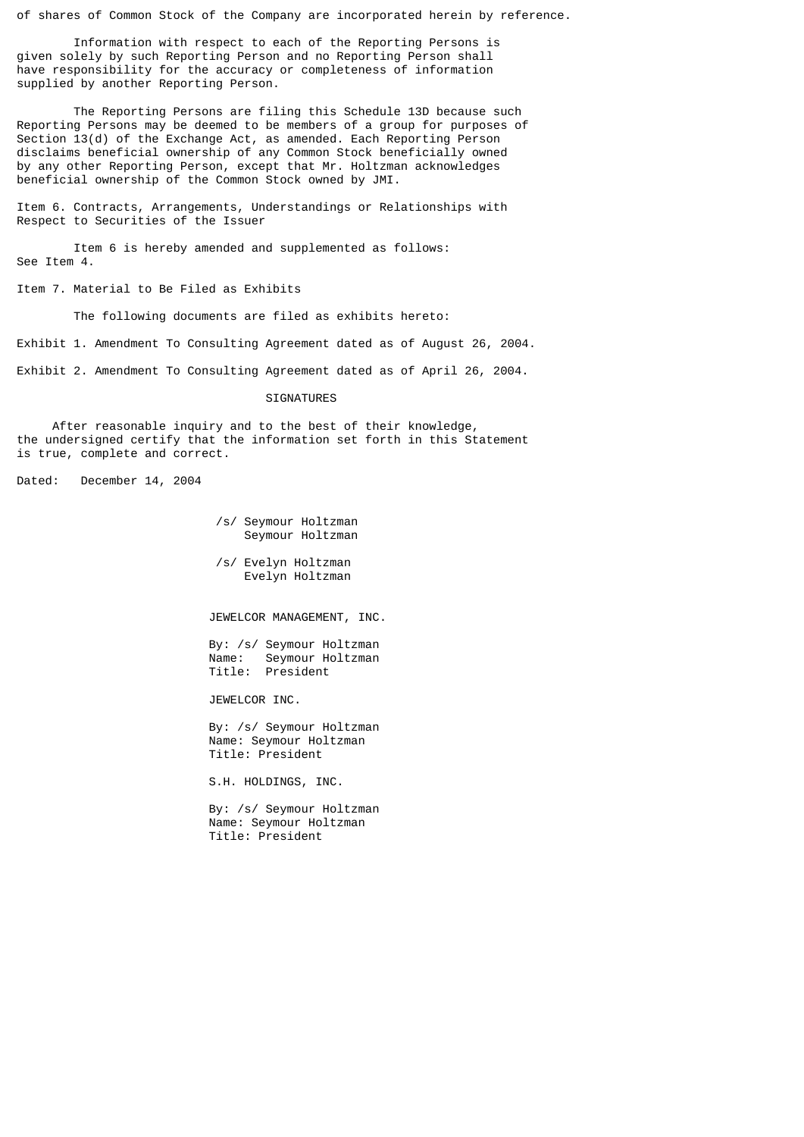of shares of Common Stock of the Company are incorporated herein by reference.

 Information with respect to each of the Reporting Persons is given solely by such Reporting Person and no Reporting Person shall have responsibility for the accuracy or completeness of information supplied by another Reporting Person.

 The Reporting Persons are filing this Schedule 13D because such Reporting Persons may be deemed to be members of a group for purposes of Section 13(d) of the Exchange Act, as amended. Each Reporting Person disclaims beneficial ownership of any Common Stock beneficially owned by any other Reporting Person, except that Mr. Holtzman acknowledges beneficial ownership of the Common Stock owned by JMI.

Item 6. Contracts, Arrangements, Understandings or Relationships with Respect to Securities of the Issuer

 Item 6 is hereby amended and supplemented as follows: See Item 4.

Item 7. Material to Be Filed as Exhibits

The following documents are filed as exhibits hereto:

Exhibit 1. Amendment To Consulting Agreement dated as of August 26, 2004.

Exhibit 2. Amendment To Consulting Agreement dated as of April 26, 2004.

#### **SIGNATURES**

 After reasonable inquiry and to the best of their knowledge, the undersigned certify that the information set forth in this Statement is true, complete and correct.

Dated: December 14, 2004

 /s/ Seymour Holtzman Seymour Holtzman

 /s/ Evelyn Holtzman Evelyn Holtzman

JEWELCOR MANAGEMENT, INC.

 By: /s/ Seymour Holtzman Name: Seymour Holtzman Title: President

JEWELCOR INC.

 By: /s/ Seymour Holtzman Name: Seymour Holtzman Title: President

S.H. HOLDINGS, INC.

 By: /s/ Seymour Holtzman Name: Seymour Holtzman Title: President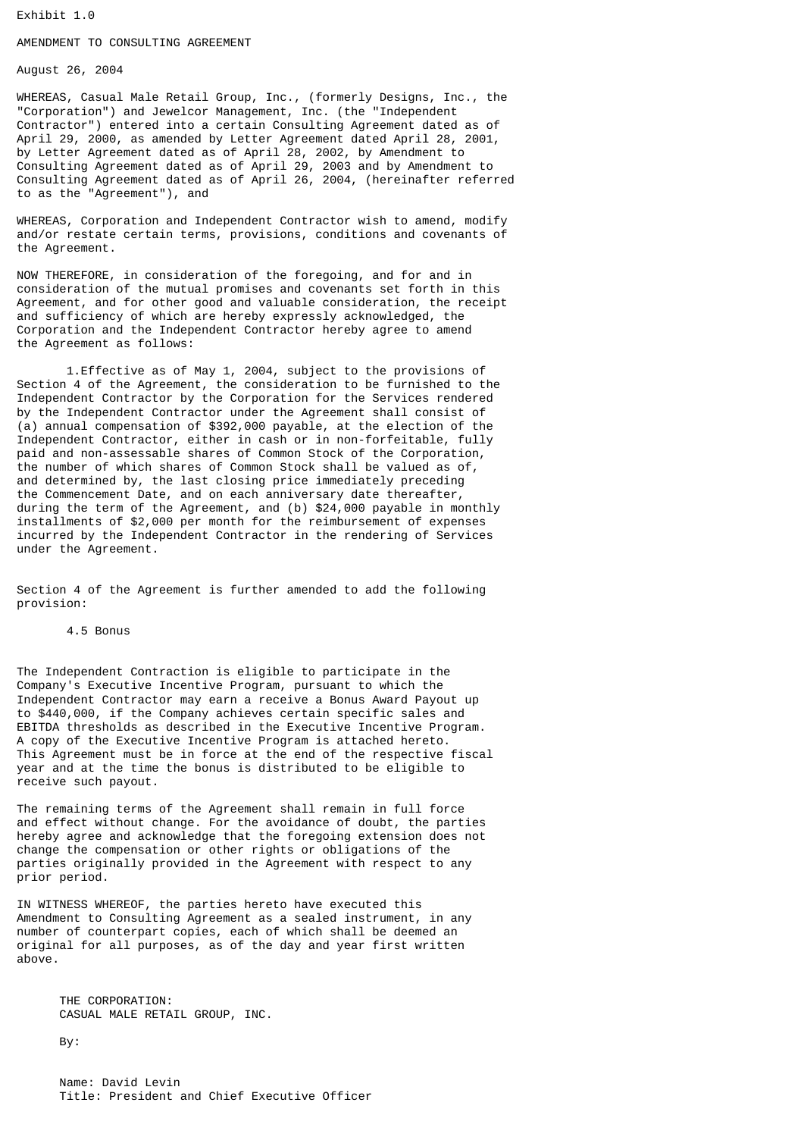Exhibit 1.0

# AMENDMENT TO CONSULTING AGREEMENT

August 26, 2004

WHEREAS, Casual Male Retail Group, Inc., (formerly Designs, Inc., the "Corporation") and Jewelcor Management, Inc. (the "Independent Contractor") entered into a certain Consulting Agreement dated as of April 29, 2000, as amended by Letter Agreement dated April 28, 2001, by Letter Agreement dated as of April 28, 2002, by Amendment to Consulting Agreement dated as of April 29, 2003 and by Amendment to Consulting Agreement dated as of April 26, 2004, (hereinafter referred to as the "Agreement"), and

WHEREAS, Corporation and Independent Contractor wish to amend, modify and/or restate certain terms, provisions, conditions and covenants of the Agreement.

NOW THEREFORE, in consideration of the foregoing, and for and in consideration of the mutual promises and covenants set forth in this Agreement, and for other good and valuable consideration, the receipt and sufficiency of which are hereby expressly acknowledged, the Corporation and the Independent Contractor hereby agree to amend the Agreement as follows:

 1.Effective as of May 1, 2004, subject to the provisions of Section 4 of the Agreement, the consideration to be furnished to the Independent Contractor by the Corporation for the Services rendered by the Independent Contractor under the Agreement shall consist of (a) annual compensation of \$392,000 payable, at the election of the Independent Contractor, either in cash or in non-forfeitable, fully paid and non-assessable shares of Common Stock of the Corporation, the number of which shares of Common Stock shall be valued as of, and determined by, the last closing price immediately preceding the Commencement Date, and on each anniversary date thereafter, during the term of the Agreement, and (b) \$24,000 payable in monthly installments of \$2,000 per month for the reimbursement of expenses incurred by the Independent Contractor in the rendering of Services under the Agreement.

Section 4 of the Agreement is further amended to add the following provision:

## 4.5 Bonus

The Independent Contraction is eligible to participate in the Company's Executive Incentive Program, pursuant to which the Independent Contractor may earn a receive a Bonus Award Payout up to \$440,000, if the Company achieves certain specific sales and EBITDA thresholds as described in the Executive Incentive Program. A copy of the Executive Incentive Program is attached hereto. This Agreement must be in force at the end of the respective fiscal year and at the time the bonus is distributed to be eligible to receive such payout.

The remaining terms of the Agreement shall remain in full force and effect without change. For the avoidance of doubt, the parties hereby agree and acknowledge that the foregoing extension does not change the compensation or other rights or obligations of the parties originally provided in the Agreement with respect to any prior period.

IN WITNESS WHEREOF, the parties hereto have executed this Amendment to Consulting Agreement as a sealed instrument, in any number of counterpart copies, each of which shall be deemed an original for all purposes, as of the day and year first written above.

 THE CORPORATION: CASUAL MALE RETAIL GROUP, INC.

By:

 Name: David Levin Title: President and Chief Executive Officer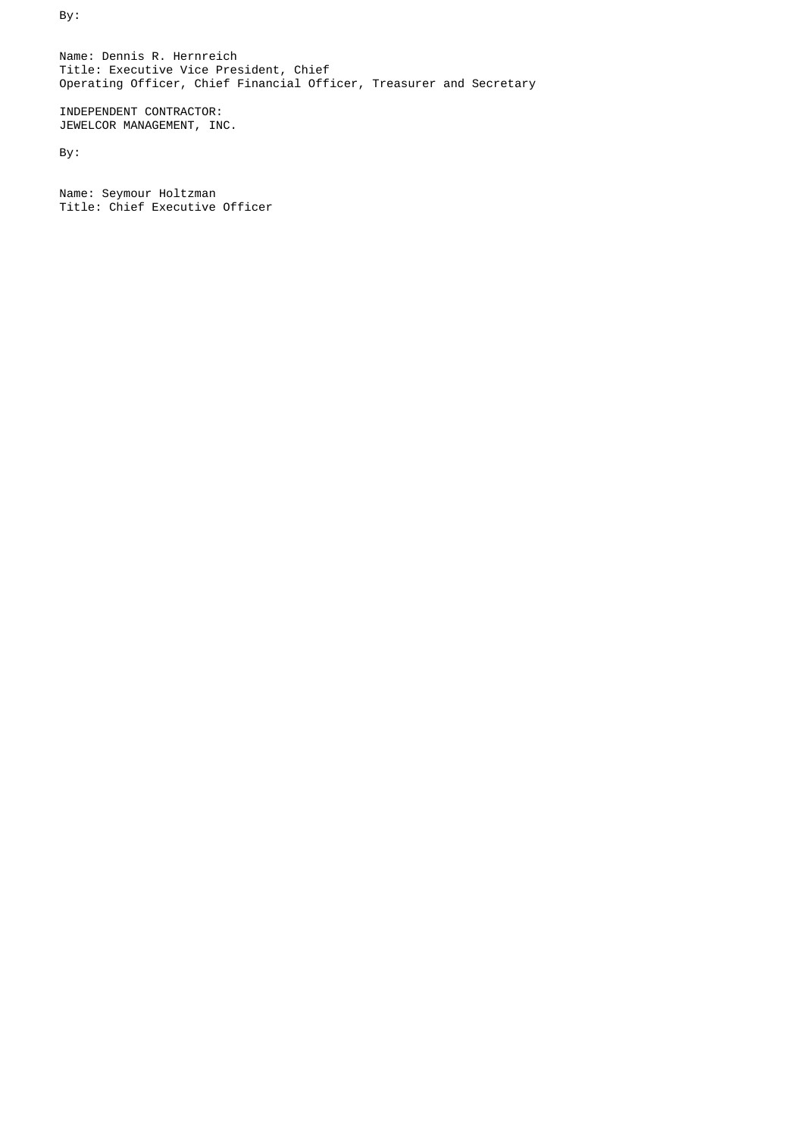By:

 Name: Dennis R. Hernreich Title: Executive Vice President, Chief Operating Officer, Chief Financial Officer, Treasurer and Secretary

 INDEPENDENT CONTRACTOR: JEWELCOR MANAGEMENT, INC.

By:

 Name: Seymour Holtzman Title: Chief Executive Officer